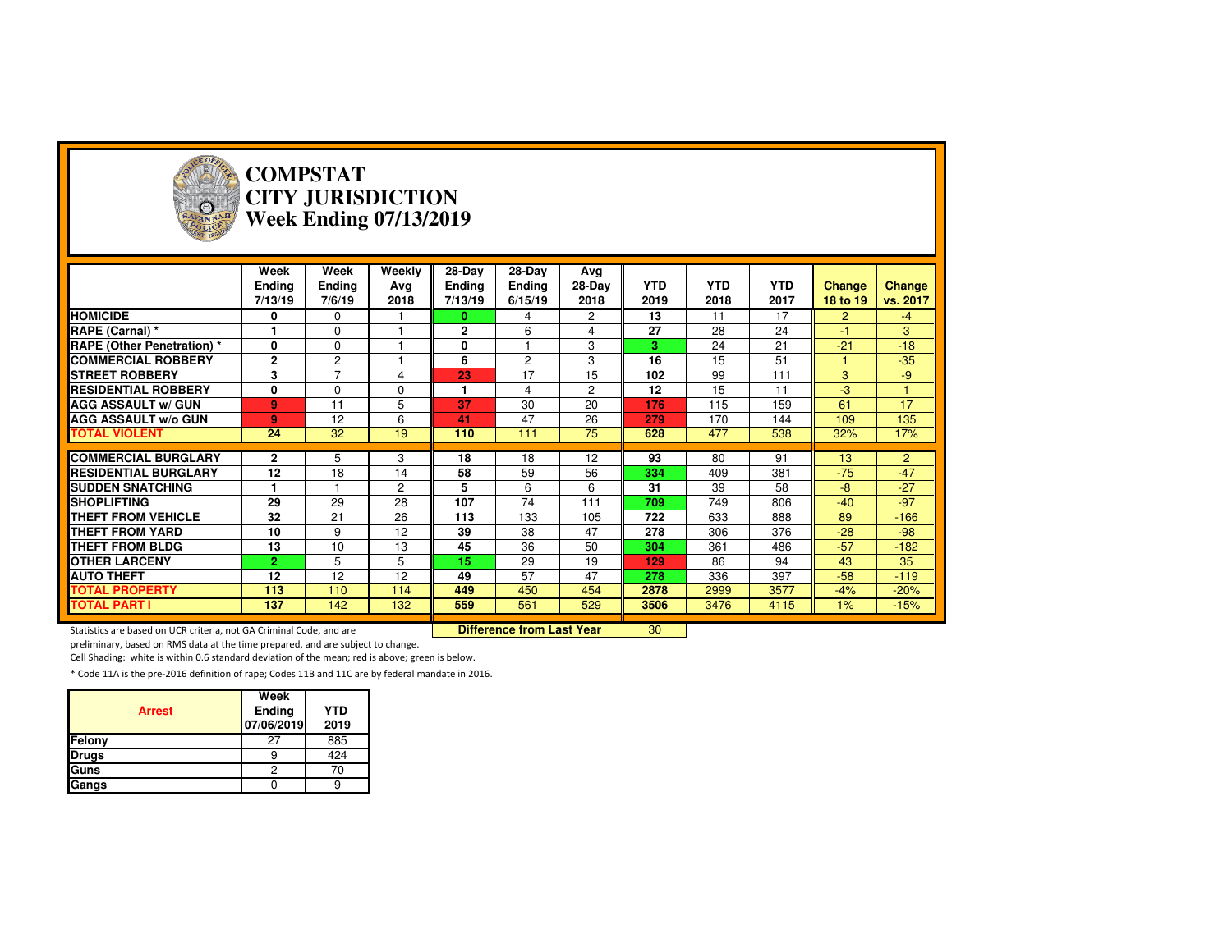

#### **COMPSTAT CITY JURISDICTIONWeek Ending 07/13/2019**

|                                   | Week<br>Ending<br>7/13/19 | Week<br>Ending<br>7/6/19 | Weekly<br>Ava<br>2018 | 28-Day<br><b>Ending</b><br>7/13/19 | 28-Day<br><b>Ending</b><br>6/15/19 | Avg<br>$28-Dav$<br>2018 | <b>YTD</b><br>2019 | <b>YTD</b><br>2018 | <b>YTD</b><br>2017 | Change<br>18 to 19 | <b>Change</b><br>vs. 2017 |
|-----------------------------------|---------------------------|--------------------------|-----------------------|------------------------------------|------------------------------------|-------------------------|--------------------|--------------------|--------------------|--------------------|---------------------------|
| <b>HOMICIDE</b>                   | 0                         | $\Omega$                 |                       | 0                                  | 4                                  | 2                       | 13                 | 11                 | 17                 | $\overline{2}$     | $-4$                      |
| RAPE (Carnal) *                   |                           | $\Omega$                 |                       | $\mathbf{2}$                       | 6                                  | 4                       | 27                 | 28                 | 24                 | $-1$               | 3                         |
| <b>RAPE (Other Penetration)</b> * | 0                         | $\Omega$                 |                       | 0                                  |                                    | 3                       | 3                  | 24                 | 21                 | $-21$              | $-18$                     |
| <b>COMMERCIAL ROBBERY</b>         | $\mathbf{2}$              | $\overline{c}$           |                       | 6                                  | $\overline{2}$                     | 3                       | 16                 | 15                 | 51                 |                    | $-35$                     |
| <b>STREET ROBBERY</b>             | 3                         | ⇁                        | 4                     | 23                                 | 17                                 | 15                      | 102                | 99                 | 111                | 3                  | $-9$                      |
| <b>RESIDENTIAL ROBBERY</b>        | 0                         | $\Omega$                 | $\Omega$              | 1                                  | 4                                  | $\overline{c}$          | 12                 | 15                 | 11                 | $-3$               |                           |
| <b>AGG ASSAULT w/ GUN</b>         | 9                         | 11                       | 5                     | 37                                 | 30                                 | 20                      | 176                | 115                | 159                | 61                 | 17                        |
| <b>AGG ASSAULT w/o GUN</b>        | 9                         | 12                       | 6                     | 41                                 | 47                                 | 26                      | 279                | 170                | 144                | 109                | 135                       |
| <b>TOTAL VIOLENT</b>              | 24                        | 32                       | 19                    | 110                                | 111                                | 75                      | 628                | 477                | 538                | 32%                | 17%                       |
|                                   |                           |                          |                       |                                    |                                    |                         |                    |                    |                    |                    |                           |
| <b>COMMERCIAL BURGLARY</b>        | 2                         | 5                        | 3                     | 18                                 | 18                                 | 12                      | 93                 | 80                 | 91                 | 13                 | $\overline{2}$            |
| <b>RESIDENTIAL BURGLARY</b>       | 12                        | 18                       | 14                    | 58                                 | 59                                 | 56                      | 334                | 409                | 381                | $-75$              | $-47$                     |
| <b>SUDDEN SNATCHING</b>           |                           |                          | 2                     | 5                                  | 6                                  | 6                       | 31                 | 39                 | 58                 | $-8$               | $-27$                     |
| <b>SHOPLIFTING</b>                | 29                        | 29                       | 28                    | 107                                | 74                                 | 111                     | 709                | 749                | 806                | $-40$              | $-97$                     |
| <b>THEFT FROM VEHICLE</b>         | 32                        | 21                       | 26                    | 113                                | 133                                | 105                     | 722                | 633                | 888                | 89                 | $-166$                    |
| THEFT FROM YARD                   | 10                        | 9                        | 12                    | 39                                 | 38                                 | 47                      | 278                | 306                | 376                | $-28$              | $-98$                     |
| <b>THEFT FROM BLDG</b>            | 13                        | 10                       | 13                    | 45                                 | 36                                 | 50                      | 304                | 361                | 486                | $-57$              | $-182$                    |
| <b>OTHER LARCENY</b>              | $\overline{2}$            | 5                        | 5                     | 15                                 | 29                                 | 19                      | 129                | 86                 | 94                 | 43                 | 35                        |
| <b>AUTO THEFT</b>                 | 12                        | 12                       | 12                    | 49                                 | 57                                 | 47                      | 278                | 336                | 397                | $-58$              | $-119$                    |
| <b>TOTAL PROPERTY</b>             | 113                       | 110                      | 114                   | 449                                | 450                                | 454                     | 2878               | 2999               | 3577               | $-4%$              | $-20%$                    |
| <b>TOTAL PART I</b>               | 137                       | 142                      | 132                   | 559                                | 561                                | 529                     | 3506               | 3476               | 4115               | $1\%$              | $-15%$                    |

<sup>30</sup>

Statistics are based on UCR criteria, not GA Criminal Code, and are **Difference from Last Year** 

preliminary, based on RMS data at the time prepared, and are subject to change.

Cell Shading: white is within 0.6 standard deviation of the mean; red is above; green is below.

|               | Week                 |                    |
|---------------|----------------------|--------------------|
| <b>Arrest</b> | Ending<br>07/06/2019 | <b>YTD</b><br>2019 |
| Felony        | 27                   | 885                |
| <b>Drugs</b>  |                      | 424                |
| Guns          |                      | 70                 |
| Gangs         |                      |                    |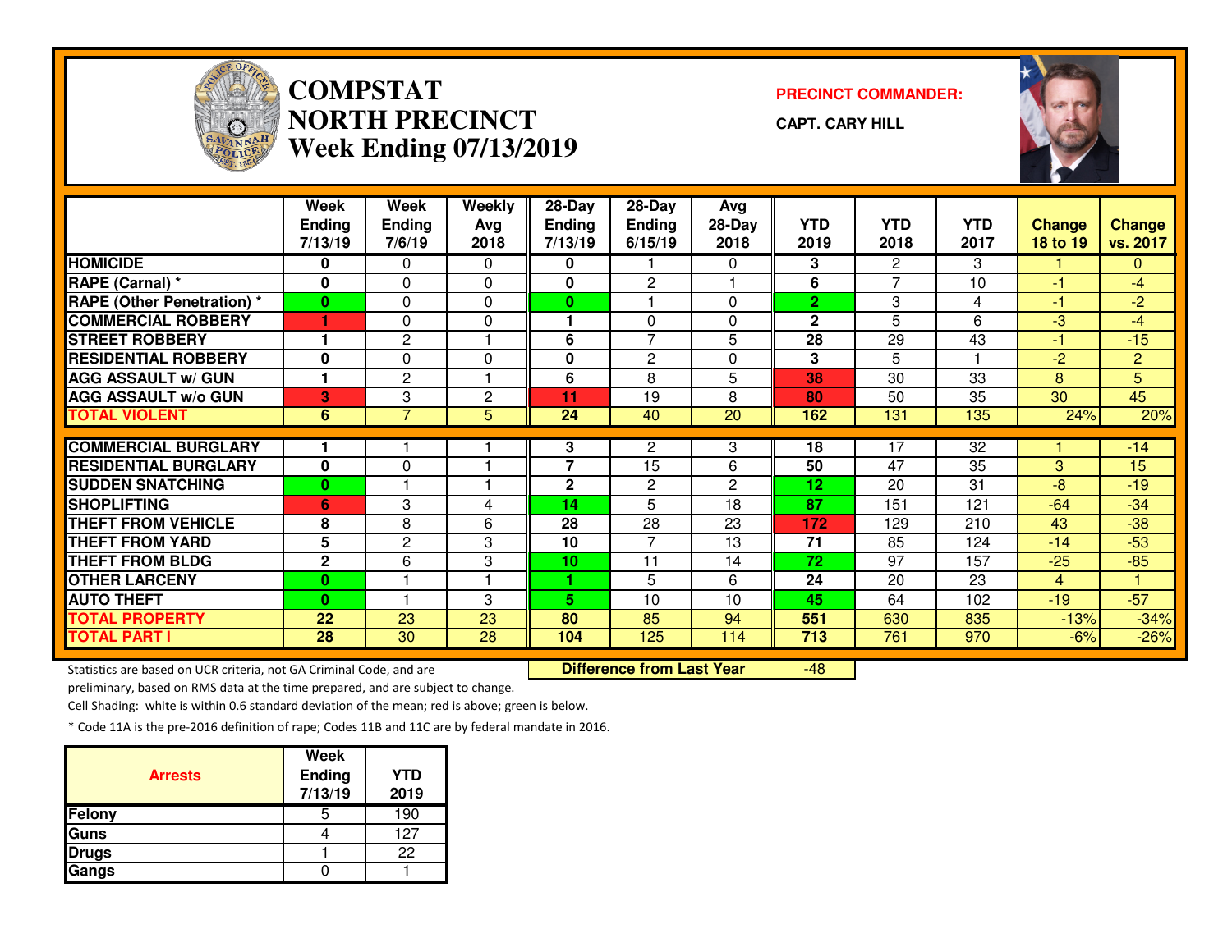

### **COMPSTATNORTH PRECINCTWeek Ending 07/13/2019**

**PRECINCT COMMANDER:**

**CAPT. CARY HILL**

-48



|                                   | Week                 | Week           | Weekly         | 28-Day                   | 28-Day         | Avg            |                |                          |            |               |                 |
|-----------------------------------|----------------------|----------------|----------------|--------------------------|----------------|----------------|----------------|--------------------------|------------|---------------|-----------------|
|                                   | <b>Ending</b>        | Ending         | Avg            | <b>Ending</b>            | <b>Ending</b>  | $28-Day$       | <b>YTD</b>     | <b>YTD</b>               | <b>YTD</b> | <b>Change</b> | <b>Change</b>   |
|                                   | 7/13/19              | 7/6/19         | 2018           | 7/13/19                  | 6/15/19        | 2018           | 2019           | 2018                     | 2017       | 18 to 19      | vs. 2017        |
| <b>HOMICIDE</b>                   | 0                    | 0              | 0              | 0                        |                | 0              | 3              | $\overline{2}$           | 3          |               | 0               |
| RAPE (Carnal) *                   | $\bf{0}$             | $\Omega$       | 0              | 0                        | $\mathbf{2}$   |                | 6              | $\overline{\phantom{a}}$ | 10         | $-1$          | $-4$            |
| <b>RAPE (Other Penetration) *</b> | 0                    | $\Omega$       | 0              | 0                        |                | 0              | $\overline{2}$ | 3                        | 4          | -1            | $-2$            |
| <b>COMMERCIAL ROBBERY</b>         | и                    | $\Omega$       | 0              |                          | $\Omega$       | 0              | $\mathbf{2}$   | 5                        | 6          | $-3$          | $-4$            |
| <b>STREET ROBBERY</b>             |                      | $\mathbf{2}$   |                | 6                        | $\overline{7}$ | 5              | 28             | 29                       | 43         | $-1$          | $-15$           |
| <b>RESIDENTIAL ROBBERY</b>        | $\bf{0}$             | $\Omega$       | 0              | 0                        | 2              | 0              | 3              | 5                        |            | $-2$          | $\overline{2}$  |
| <b>AGG ASSAULT w/ GUN</b>         | $\blacktriangleleft$ | $\mathbf{2}$   |                | 6                        | 8              | 5              | 38             | 30                       | 33         | 8             | 5               |
| <b>AGG ASSAULT w/o GUN</b>        | 3                    | 3              | $\overline{c}$ | 11                       | 19             | 8              | 80             | 50                       | 35         | 30            | $\overline{45}$ |
| <b>TOTAL VIOLENT</b>              | $6\phantom{1}$       | $\overline{7}$ | 5              | 24                       | 40             | 20             | 162            | 131                      | 135        | 24%           | 20%             |
|                                   |                      |                |                |                          |                |                |                |                          |            |               |                 |
| <b>COMMERCIAL BURGLARY</b>        |                      |                |                | 3                        | 2              | 3              | 18             | 17                       | 32         |               | $-14$           |
| <b>RESIDENTIAL BURGLARY</b>       | $\bf{0}$             | $\Omega$       |                | $\overline{\phantom{a}}$ | 15             | 6              | 50             | 47                       | 35         | 3             | 15              |
| <b>SUDDEN SNATCHING</b>           | 0                    |                |                | 2                        | $\overline{c}$ | $\overline{2}$ | 12             | 20                       | 31         | $-8$          | $-19$           |
| <b>SHOPLIFTING</b>                | 6                    | 3              | 4              | 14                       | 5              | 18             | 87             | 151                      | 121        | $-64$         | $-34$           |
| <b>THEFT FROM VEHICLE</b>         | 8                    | 8              | 6              | 28                       | 28             | 23             | 172            | 129                      | 210        | 43            | $-38$           |
| <b>THEFT FROM YARD</b>            | 5                    | 2              | 3              | 10                       | $\overline{7}$ | 13             | 71             | 85                       | 124        | $-14$         | $-53$           |
| <b>THEFT FROM BLDG</b>            | $\overline{2}$       | 6              | 3              | 10                       | 11             | 14             | 72             | 97                       | 157        | $-25$         | $-85$           |
| <b>OTHER LARCENY</b>              | 0                    |                |                | 4.                       | 5              | 6              | 24             | 20                       | 23         | 4             |                 |
| <b>AUTO THEFT</b>                 | 0                    |                | 3              | 5.                       | 10             | 10             | 45             | 64                       | 102        | $-19$         | $-57$           |
| <b>TOTAL PROPERTY</b>             | 22                   | 23             | 23             | 80                       | 85             | 94             | 551            | 630                      | 835        | $-13%$        | $-34%$          |
| <b>TOTAL PART I</b>               | 28                   | 30             | 28             | 104                      | 125            | 114            | 713            | 761                      | 970        | $-6%$         | $-26%$          |

Statistics are based on UCR criteria, not GA Criminal Code, and are **Difference from Last Year** 

preliminary, based on RMS data at the time prepared, and are subject to change.

Cell Shading: white is within 0.6 standard deviation of the mean; red is above; green is below.

| <b>Arrests</b> | <b>Week</b><br><b>Ending</b><br>7/13/19 | <b>YTD</b><br>2019 |
|----------------|-----------------------------------------|--------------------|
| Felony         | 5                                       | 190                |
| Guns           |                                         | 127                |
| <b>Drugs</b>   |                                         | 22                 |
| Gangs          |                                         |                    |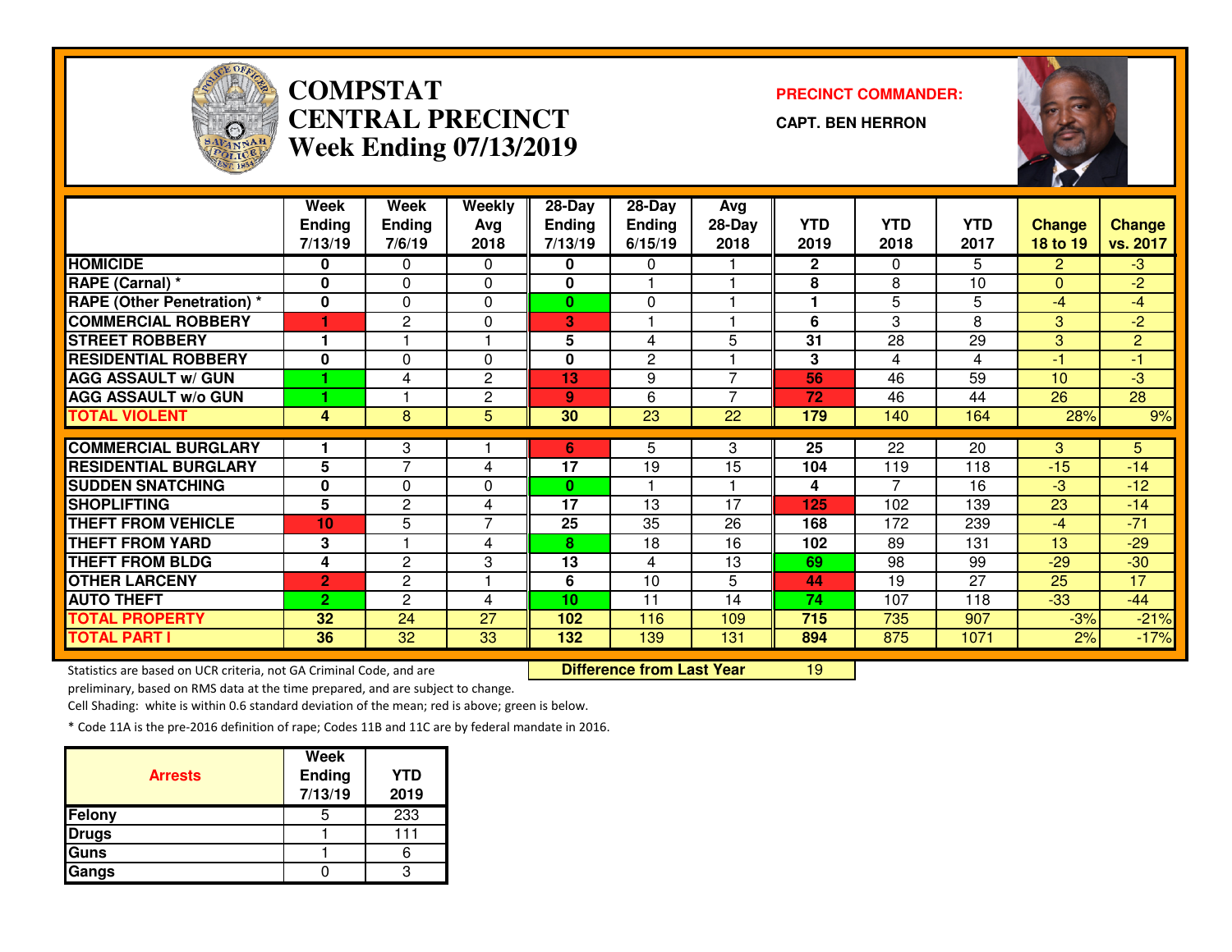

## **COMPSTAT PRECINCT COMMANDER: CENTRAL PRECINCTWeek Ending 07/13/2019**

**CAPT. BEN HERRON**

<sup>19</sup>



|                                   | Week           | Week                  | <b>Weekly</b>  | $28 - Day$    | $28 - Day$      | Avg             |              |            |                 |                |                |
|-----------------------------------|----------------|-----------------------|----------------|---------------|-----------------|-----------------|--------------|------------|-----------------|----------------|----------------|
|                                   | <b>Ending</b>  | <b>Ending</b>         | Avg            | <b>Ending</b> | <b>Ending</b>   | 28-Day          | <b>YTD</b>   | <b>YTD</b> | <b>YTD</b>      | <b>Change</b>  | <b>Change</b>  |
|                                   | 7/13/19        | 7/6/19                | 2018           | 7/13/19       | 6/15/19         | 2018            | 2019         | 2018       | 2017            | 18 to 19       | vs. 2017       |
| <b>HOMICIDE</b>                   | 0              | 0                     | 0              | 0             | 0               |                 | $\mathbf{2}$ | $\Omega$   | 5               | $\overline{2}$ | $-3$           |
| RAPE (Carnal) *                   | $\bf{0}$       | 0                     | $\Omega$       | 0             |                 |                 | 8            | 8          | 10              | $\Omega$       | $-2$           |
| <b>RAPE (Other Penetration) *</b> | $\mathbf{0}$   | 0                     | $\Omega$       | $\bf{0}$      | $\Omega$        |                 |              | 5          | 5               | $-4$           | $-4$           |
| <b>COMMERCIAL ROBBERY</b>         | и              | $\overline{2}$        | $\Omega$       | 3             |                 |                 | 6            | 3          | 8               | 3              | $-2$           |
| <b>STREET ROBBERY</b>             |                |                       |                | 5             | 4               | 5               | 31           | 28         | 29              | 3              | $\overline{2}$ |
| <b>RESIDENTIAL ROBBERY</b>        | 0              | $\Omega$              | $\Omega$       | 0             | $\overline{2}$  |                 | 3            | 4          | 4               | $-1$           | $-1$           |
| <b>AGG ASSAULT w/ GUN</b>         |                | 4                     | $\overline{c}$ | 13            | 9               | $\overline{ }$  | 56           | 46         | 59              | 10             | -3             |
| <b>AGG ASSAULT w/o GUN</b>        |                |                       | $\overline{c}$ | 9             | 6               | $\overline{ }$  | 72           | 46         | 44              | 26             | 28             |
| <b>TOTAL VIOLENT</b>              | 4              | 8                     | 5              | 30            | $\overline{23}$ | 22              | 179          | 140        | 164             | 28%            | 9%             |
|                                   |                |                       |                |               |                 |                 |              |            |                 |                |                |
| <b>COMMERCIAL BURGLARY</b>        |                | 3                     |                | 6             | 5               | 3               | 25           | 22         | $\overline{20}$ | 3              | 5              |
| <b>RESIDENTIAL BURGLARY</b>       | 5              | 7                     | 4              | 17            | 19              | $\overline{15}$ | 104          | 119        | 118             | $-15$          | $-14$          |
| <b>SUDDEN SNATCHING</b>           | $\bf{0}$       | 0                     | 0              | $\bf{0}$      |                 |                 | 4            | 7          | 16              | $-3$           | $-12$          |
| <b>SHOPLIFTING</b>                | 5              | 2                     | 4              | 17            | 13              | 17              | 125          | 102        | 139             | 23             | $-14$          |
| <b>THEFT FROM VEHICLE</b>         | 10             | 5                     | 7              | 25            | 35              | 26              | 168          | 172        | 239             | $-4$           | $-71$          |
| <b>THEFT FROM YARD</b>            | 3              |                       | 4              | 8.            | 18              | 16              | 102          | 89         | 131             | 13             | $-29$          |
| <b>THEFT FROM BLDG</b>            | 4              | 2                     | 3              | 13            | 4               | 13              | 69           | 98         | 99              | $-29$          | $-30$          |
| <b>OTHER LARCENY</b>              | $\overline{2}$ | $\mathbf{2}^{\prime}$ | 1              | 6             | 10              | 5               | 44           | 19         | 27              | 25             | 17             |
| <b>AUTO THEFT</b>                 | $\overline{2}$ | $\overline{c}$        | 4              | 10            | 11              | 14              | 74           | 107        | 118             | $-33$          | $-44$          |
| <b>TOTAL PROPERTY</b>             | 32             | 24                    | 27             | 102           | 116             | 109             | 715          | 735        | 907             | $-3%$          | $-21%$         |
| <b>TOTAL PART I</b>               | 36             | 32                    | 33             | 132           | 139             | 131             | 894          | 875        | 1071            | 2%             | $-17%$         |

Statistics are based on UCR criteria, not GA Criminal Code, and are **Difference from Last Year** 

preliminary, based on RMS data at the time prepared, and are subject to change.

Cell Shading: white is within 0.6 standard deviation of the mean; red is above; green is below.

| <b>Arrests</b> | <b>Week</b><br><b>Ending</b><br>7/13/19 | <b>YTD</b><br>2019 |
|----------------|-----------------------------------------|--------------------|
| Felony         | 5                                       | 233                |
| <b>Drugs</b>   |                                         | 111                |
| Guns           |                                         |                    |
| Gangs          |                                         |                    |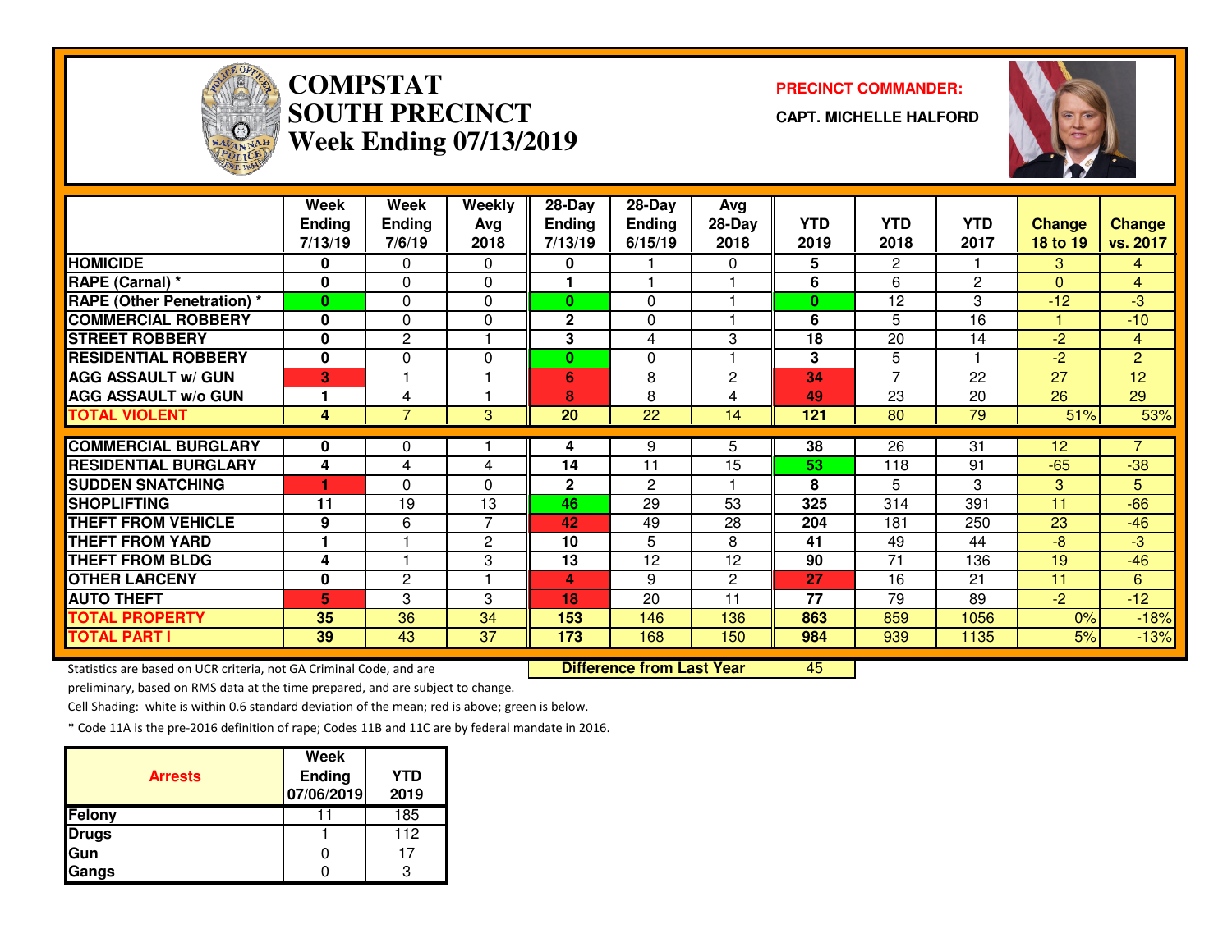

# **COMPSTATSOUTH PRECINCTWeek Ending 07/13/2019**

#### **PRECINCT COMMANDER:**

**CAPT. MICHELLE HALFORD**



|                                   | Week          | Week           | Weekly         | 28-Day         | $28$ -Day       | Avg            |            |                       |                 |               |                |
|-----------------------------------|---------------|----------------|----------------|----------------|-----------------|----------------|------------|-----------------------|-----------------|---------------|----------------|
|                                   | <b>Ending</b> | <b>Ending</b>  | Avg            | <b>Ending</b>  | <b>Ending</b>   | $28-Day$       | <b>YTD</b> | <b>YTD</b>            | <b>YTD</b>      | <b>Change</b> | <b>Change</b>  |
|                                   | 7/13/19       | 7/6/19         | 2018           | 7/13/19        | 6/15/19         | 2018           | 2019       | 2018                  | 2017            | 18 to 19      | vs. 2017       |
| <b>HOMICIDE</b>                   | 0             | 0              | 0              | 0              |                 | 0              | 5          | $\mathbf{2}^{\prime}$ |                 | 3             | 4              |
| RAPE (Carnal) *                   | $\bf{0}$      | $\Omega$       | 0              |                |                 |                | 6          | 6                     | $\mathbf{2}$    | $\Omega$      | $\overline{4}$ |
| <b>RAPE (Other Penetration) *</b> | 0             | 0              | 0              | 0              | 0               |                | $\bf{0}$   | 12                    | 3               | $-12$         | $-3$           |
| <b>COMMERCIAL ROBBERY</b>         | $\bf{0}$      | 0              | 0              | 2              | $\mathbf 0$     |                | 6          | 5                     | 16              |               | $-10$          |
| <b>STREET ROBBERY</b>             | 0             | $\mathbf{2}$   |                | 3              | 4               | 3              | 18         | 20                    | 14              | $-2$          | $\overline{4}$ |
| <b>RESIDENTIAL ROBBERY</b>        | $\mathbf{0}$  | $\Omega$       | 0              | $\mathbf{0}$   | $\Omega$        |                | 3          | 5                     |                 | $-2$          | $\overline{2}$ |
| <b>AGG ASSAULT w/ GUN</b>         | 3             |                |                | $6\phantom{1}$ | 8               | $\overline{2}$ | 34         | $\overline{ }$        | 22              | 27            | 12             |
| <b>AGG ASSAULT w/o GUN</b>        |               | 4              | 1              | 8              | 8               | 4              | 49         | 23                    | 20              | 26            | 29             |
| <b>TOTAL VIOLENT</b>              | 4             | $\overline{7}$ | 3              | 20             | $\overline{22}$ | 14             | 121        | 80                    | $\overline{79}$ | 51%           | 53%            |
|                                   |               |                |                |                |                 |                |            |                       |                 |               |                |
| <b>COMMERCIAL BURGLARY</b>        | $\bf{0}$      | 0              |                | 4              | 9               | 5.             | 38         | 26                    | 31              | 12            | $\overline{7}$ |
| <b>RESIDENTIAL BURGLARY</b>       | 4             | 4              | 4              | 14             | 11              | 15             | 53         | 118                   | 91              | $-65$         | $-38$          |
| <b>SUDDEN SNATCHING</b>           |               | 0              | 0              | 2              | $\overline{2}$  |                | 8          | 5                     | 3               | 3             | 5              |
| <b>SHOPLIFTING</b>                | 11            | 19             | 13             | 46             | 29              | 53             | 325        | 314                   | 391             | 11            | $-66$          |
| <b>THEFT FROM VEHICLE</b>         | 9             | 6              | $\overline{7}$ | 42             | 49              | 28             | 204        | 181                   | 250             | 23            | $-46$          |
| <b>THEFT FROM YARD</b>            | 1             |                | $\mathbf{2}$   | 10             | 5               | 8              | 41         | 49                    | 44              | $-8$          | -3             |
| <b>THEFT FROM BLDG</b>            | 4             |                | 3              | 13             | 12              | 12             | 90         | 71                    | 136             | 19            | $-46$          |
| <b>OTHER LARCENY</b>              | 0             | 2              |                | 4              | 9               | $\mathbf{2}$   | 27         | 16                    | 21              | 11            | 6              |
| <b>AUTO THEFT</b>                 | 5             | 3              | 3              | 18             | 20              | 11             | 77         | 79                    | 89              | $-2$          | $-12$          |
| <b>TOTAL PROPERTY</b>             | 35            | 36             | 34             | 153            | 146             | 136            | 863        | 859                   | 1056            | 0%            | $-18%$         |
| <b>TOTAL PART I</b>               | 39            | 43             | 37             | 173            | 168             | 150            | 984        | 939                   | 1135            | 5%            | $-13%$         |

Statistics are based on UCR criteria, not GA Criminal Code, and are **Difference from Last Year** 

<sup>45</sup>

preliminary, based on RMS data at the time prepared, and are subject to change.

Cell Shading: white is within 0.6 standard deviation of the mean; red is above; green is below.

| <b>Arrests</b> | Week<br><b>Ending</b><br>07/06/2019 | <b>YTD</b><br>2019 |
|----------------|-------------------------------------|--------------------|
| Felony         |                                     | 185                |
| <b>Drugs</b>   |                                     | 112                |
| Gun            |                                     |                    |
| Gangs          |                                     |                    |